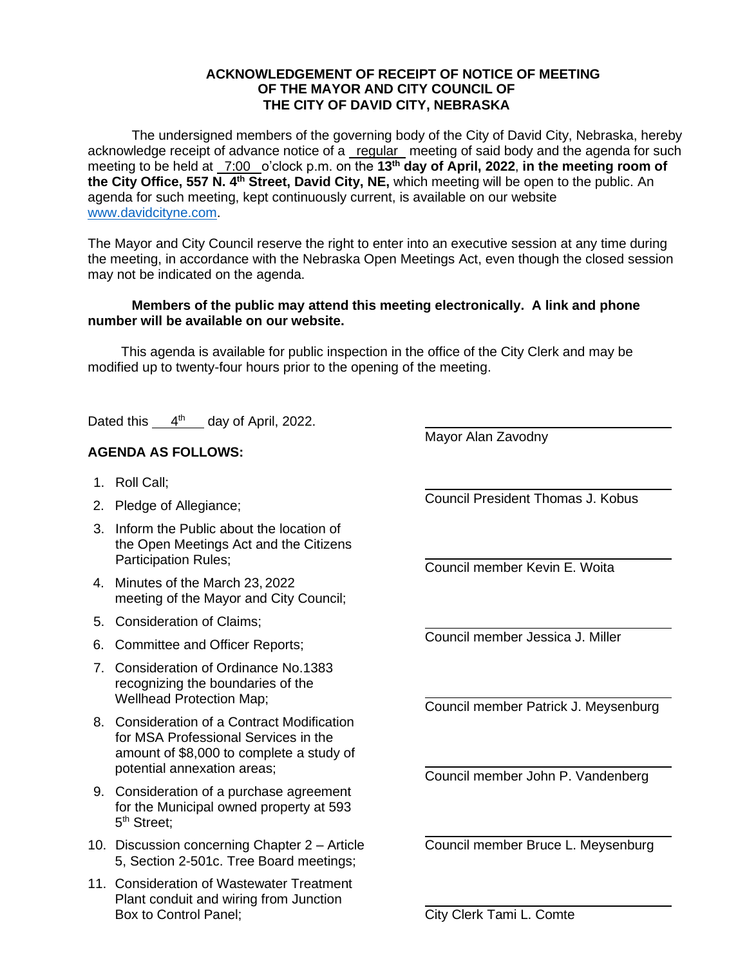## **ACKNOWLEDGEMENT OF RECEIPT OF NOTICE OF MEETING OF THE MAYOR AND CITY COUNCIL OF THE CITY OF DAVID CITY, NEBRASKA**

The undersigned members of the governing body of the City of David City, Nebraska, hereby acknowledge receipt of advance notice of a regular meeting of said body and the agenda for such meeting to be held at 7:00 o'clock p.m. on the **13th day of April, 2022**, **in the meeting room of the City Office, 557 N. 4th Street, David City, NE,** which meeting will be open to the public. An agenda for such meeting, kept continuously current, is available on our website [www.davidcityne.com.](https://urldefense.proofpoint.com/v2/url?u=http-3A__www.davidcityne.com&d=DwMFAg&c=UCja3IwhyjPGYeHcG7oIbg&r=sTF4AptKcZUvAdPZH__AgXD7wYT5PTsm1dL8p3vwYO4&m=H_1JksRqSJf69XA0HV8uDjtaNsM1PhWMo-DkTNHrSaE&s=wLyFni_YrhiWLHduEQzSflZL77e5AtnnCpVJ-weajcE&e=)

The Mayor and City Council reserve the right to enter into an executive session at any time during the meeting, in accordance with the Nebraska Open Meetings Act, even though the closed session may not be indicated on the agenda.

## **Members of the public may attend this meeting electronically. A link and phone number will be available on our website.**

This agenda is available for public inspection in the office of the City Clerk and may be modified up to twenty-four hours prior to the opening of the meeting.

Dated this  $4<sup>th</sup>$  day of April, 2022.

## **AGENDA AS FOLLOWS:**

- 1. Roll Call;
- 2. Pledge of Allegiance;
- 3. Inform the Public about the location of the Open Meetings Act and the Citizens Participation Rules;
- 4. Minutes of the March 23, 2022 meeting of the Mayor and City Council;
- 5. Consideration of Claims;
- 6. Committee and Officer Reports;
- 7. Consideration of Ordinance No.1383 recognizing the boundaries of the Wellhead Protection Map;
- 8. Consideration of a Contract Modification for MSA Professional Services in the amount of \$8,000 to complete a study of potential annexation areas;
- 9. Consideration of a purchase agreement for the Municipal owned property at 593 5<sup>th</sup> Street;
- 10. Discussion concerning Chapter 2 Article 5, Section 2-501c. Tree Board meetings;
- 11. Consideration of Wastewater Treatment Plant conduit and wiring from Junction Box to Control Panel;

Mayor Alan Zavodny

Council President Thomas J. Kobus

 $\overline{a}$ 

Council member Kevin E. Woita

Council member Jessica J. Miller

Council member Patrick J. Meysenburg

Council member John P. Vandenberg

Council member Bruce L. Meysenburg

City Clerk Tami L. Comte